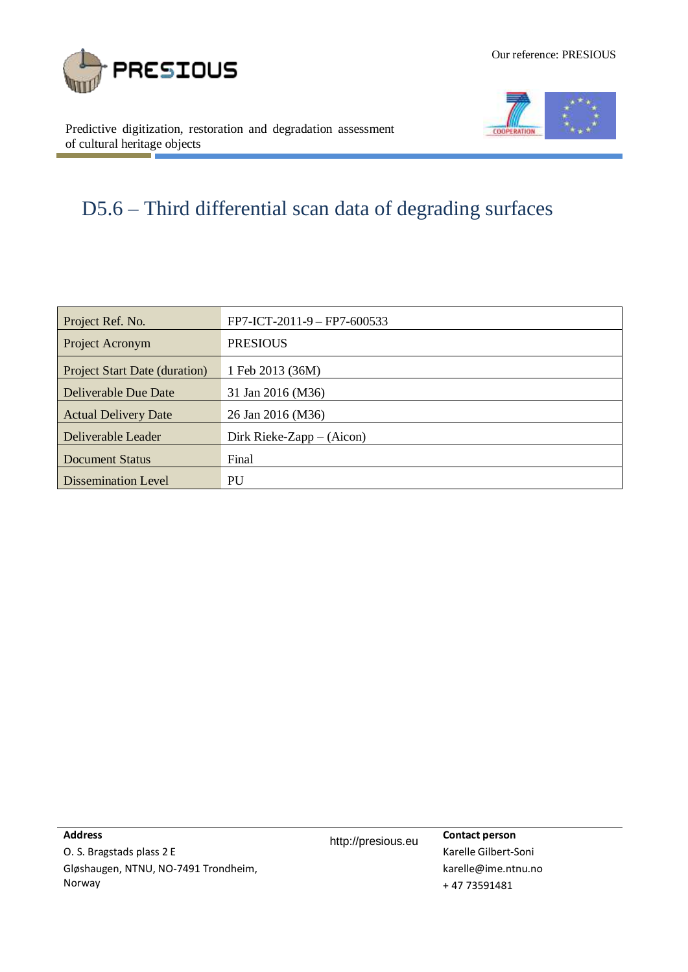





Predictive digitization, restoration and degradation assessment of cultural heritage objects

# D5.6 – Third differential scan data of degrading surfaces

| Project Ref. No.                     | FP7-ICT-2011-9 - FP7-600533 |
|--------------------------------------|-----------------------------|
| Project Acronym                      | <b>PRESIOUS</b>             |
| <b>Project Start Date (duration)</b> | 1 Feb 2013 (36M)            |
| <b>Deliverable Due Date</b>          | 31 Jan 2016 (M36)           |
| <b>Actual Delivery Date</b>          | 26 Jan 2016 (M36)           |
| Deliverable Leader                   | Dirk Rieke-Zapp $-$ (Aicon) |
| <b>Document Status</b>               | Final                       |
| <b>Dissemination Level</b>           | PU                          |

**Address**

O. S. Bragstads plass 2 E Gløshaugen, NTNU, NO-7491 Trondheim, Norway

http://presious.eu **Contact person**

Karelle Gilbert-Soni karelle@ime.ntnu.no + 47 73591481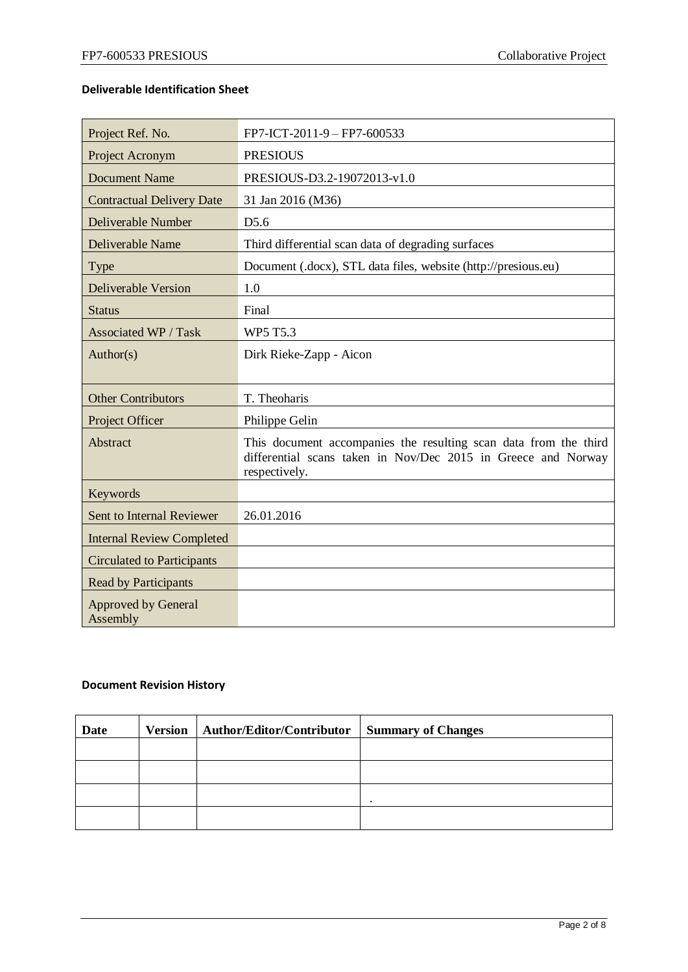### **Deliverable Identification Sheet**

| Project Ref. No.                       | FP7-ICT-2011-9 - FP7-600533                                                                                                                        |
|----------------------------------------|----------------------------------------------------------------------------------------------------------------------------------------------------|
| Project Acronym                        | <b>PRESIOUS</b>                                                                                                                                    |
| <b>Document Name</b>                   | PRESIOUS-D3.2-19072013-v1.0                                                                                                                        |
| <b>Contractual Delivery Date</b>       | 31 Jan 2016 (M36)                                                                                                                                  |
| Deliverable Number                     | D <sub>5.6</sub>                                                                                                                                   |
| Deliverable Name                       | Third differential scan data of degrading surfaces                                                                                                 |
| <b>Type</b>                            | Document (.docx), STL data files, website (http://presious.eu)                                                                                     |
| <b>Deliverable Version</b>             | 1.0                                                                                                                                                |
| <b>Status</b>                          | Final                                                                                                                                              |
| <b>Associated WP / Task</b>            | <b>WP5 T5.3</b>                                                                                                                                    |
| Author(s)                              | Dirk Rieke-Zapp - Aicon                                                                                                                            |
| <b>Other Contributors</b>              | T. Theoharis                                                                                                                                       |
| Project Officer                        | Philippe Gelin                                                                                                                                     |
| Abstract                               | This document accompanies the resulting scan data from the third<br>differential scans taken in Nov/Dec 2015 in Greece and Norway<br>respectively. |
| Keywords                               |                                                                                                                                                    |
| Sent to Internal Reviewer              | 26.01.2016                                                                                                                                         |
| <b>Internal Review Completed</b>       |                                                                                                                                                    |
| <b>Circulated to Participants</b>      |                                                                                                                                                    |
| <b>Read by Participants</b>            |                                                                                                                                                    |
| <b>Approved by General</b><br>Assembly |                                                                                                                                                    |

### **Document Revision History**

| <b>Date</b> | Version   Author/Editor/Contributor | <b>Summary of Changes</b> |
|-------------|-------------------------------------|---------------------------|
|             |                                     |                           |
|             |                                     |                           |
|             |                                     |                           |
|             |                                     |                           |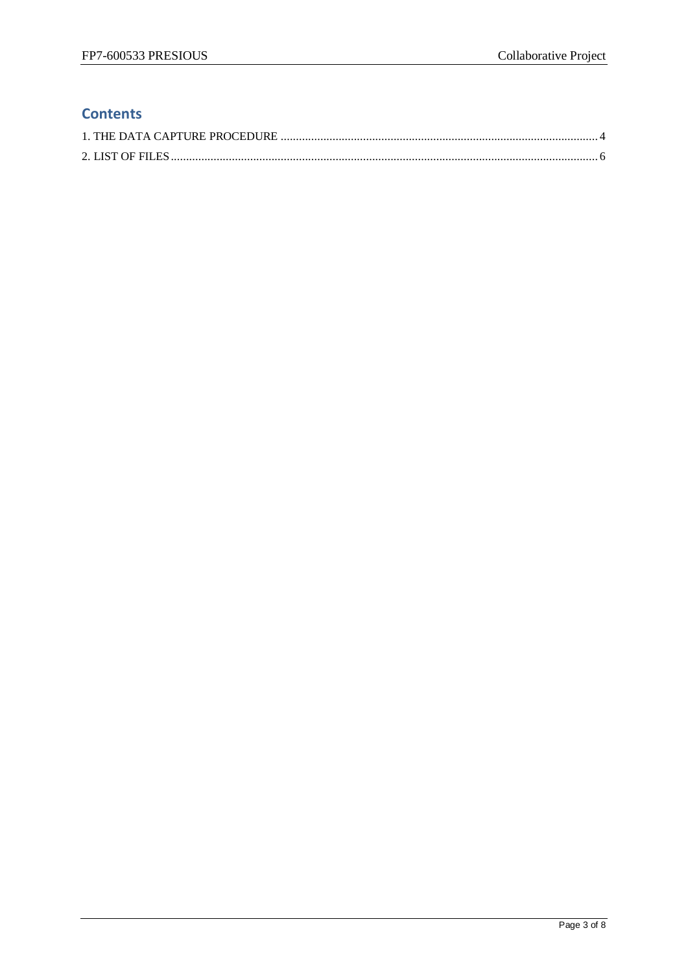## **Contents**

<span id="page-2-0"></span>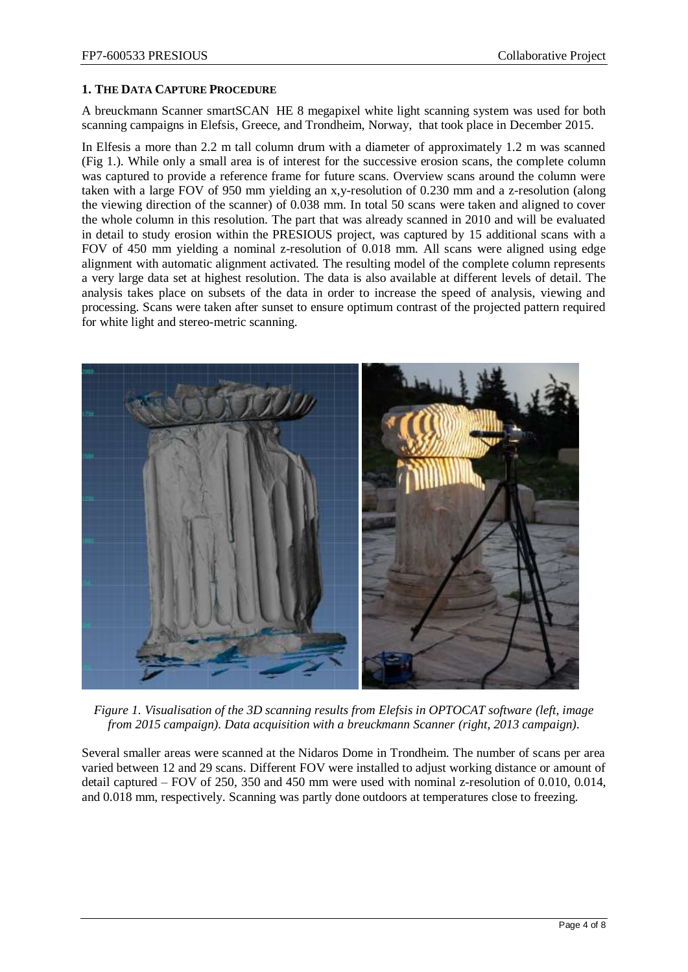### **1. THE DATA CAPTURE PROCEDURE**

A breuckmann Scanner smartSCAN HE 8 megapixel white light scanning system was used for both scanning campaigns in Elefsis, Greece, and Trondheim, Norway, that took place in December 2015.

In Elfesis a more than 2.2 m tall column drum with a diameter of approximately 1.2 m was scanned (Fig 1.). While only a small area is of interest for the successive erosion scans, the complete column was captured to provide a reference frame for future scans. Overview scans around the column were taken with a large FOV of 950 mm yielding an x,y-resolution of 0.230 mm and a z-resolution (along the viewing direction of the scanner) of 0.038 mm. In total 50 scans were taken and aligned to cover the whole column in this resolution. The part that was already scanned in 2010 and will be evaluated in detail to study erosion within the PRESIOUS project, was captured by 15 additional scans with a FOV of 450 mm yielding a nominal z-resolution of 0.018 mm. All scans were aligned using edge alignment with automatic alignment activated. The resulting model of the complete column represents a very large data set at highest resolution. The data is also available at different levels of detail. The analysis takes place on subsets of the data in order to increase the speed of analysis, viewing and processing. Scans were taken after sunset to ensure optimum contrast of the projected pattern required for white light and stereo-metric scanning.



*Figure 1. Visualisation of the 3D scanning results from Elefsis in OPTOCAT software (left, image from 2015 campaign). Data acquisition with a breuckmann Scanner (right, 2013 campaign).*

Several smaller areas were scanned at the Nidaros Dome in Trondheim. The number of scans per area varied between 12 and 29 scans. Different FOV were installed to adjust working distance or amount of detail captured – FOV of 250, 350 and 450 mm were used with nominal z-resolution of 0.010, 0.014, and 0.018 mm, respectively. Scanning was partly done outdoors at temperatures close to freezing.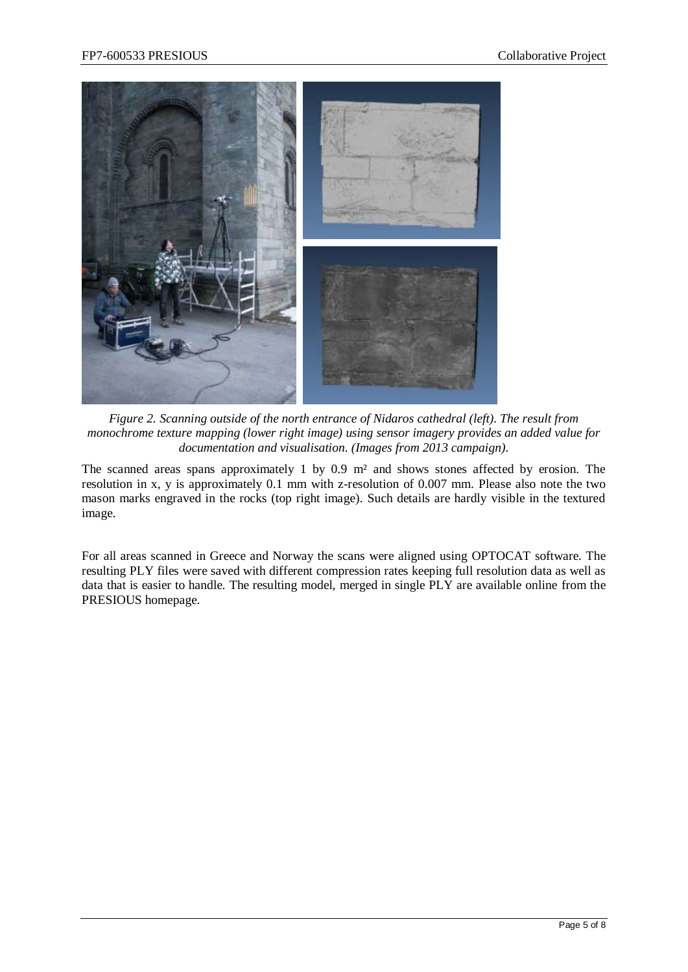

*Figure 2. Scanning outside of the north entrance of Nidaros cathedral (left). The result from monochrome texture mapping (lower right image) using sensor imagery provides an added value for documentation and visualisation. (Images from 2013 campaign).*

The scanned areas spans approximately 1 by 0.9 m² and shows stones affected by erosion. The resolution in x, y is approximately 0.1 mm with z-resolution of 0.007 mm. Please also note the two mason marks engraved in the rocks (top right image). Such details are hardly visible in the textured image.

For all areas scanned in Greece and Norway the scans were aligned using OPTOCAT software. The resulting PLY files were saved with different compression rates keeping full resolution data as well as data that is easier to handle. The resulting model, merged in single PLY are available online from the PRESIOUS homepage.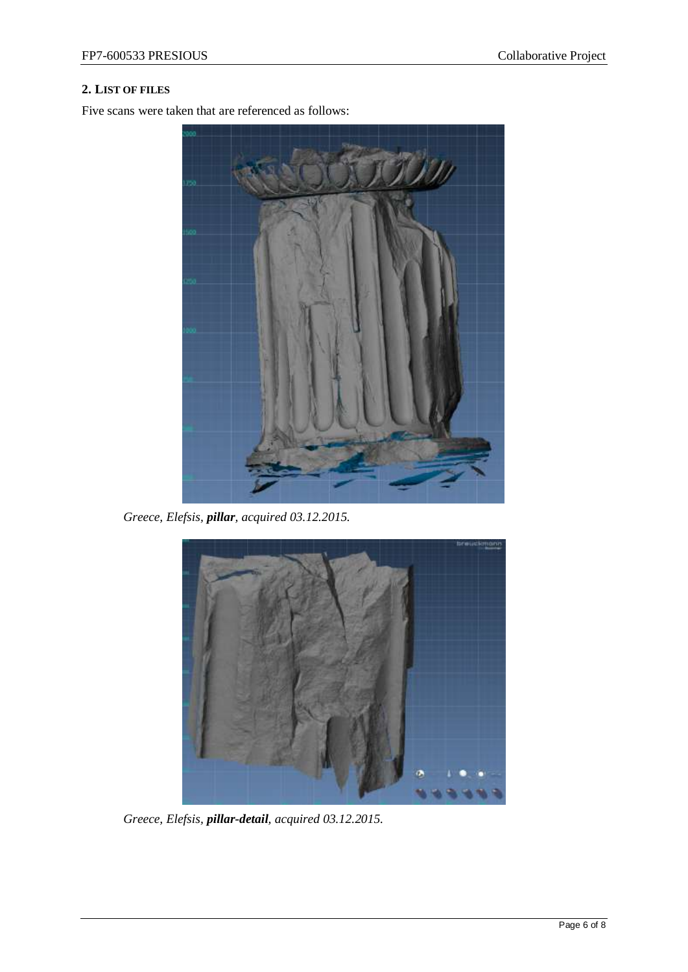### <span id="page-5-0"></span>**2. LIST OF FILES**

Five scans were taken that are referenced as follows:



*Greece, Elefsis, pillar, acquired 03.12.2015.*



*Greece, Elefsis, pillar-detail, acquired 03.12.2015.*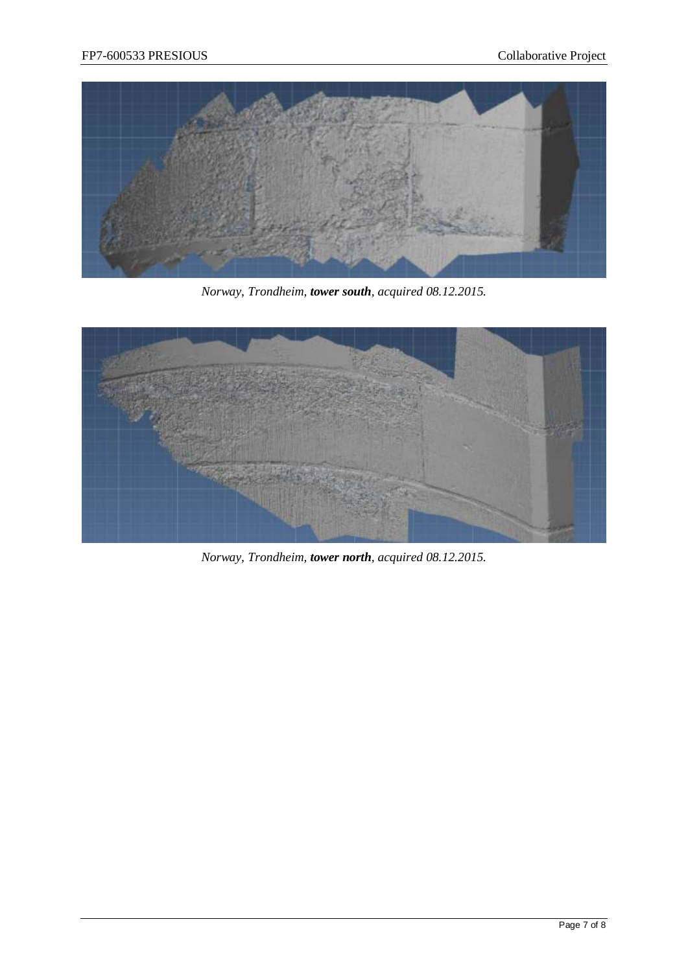

*Norway, Trondheim, tower south, acquired 08.12.2015.*



*Norway, Trondheim, tower north, acquired 08.12.2015.*